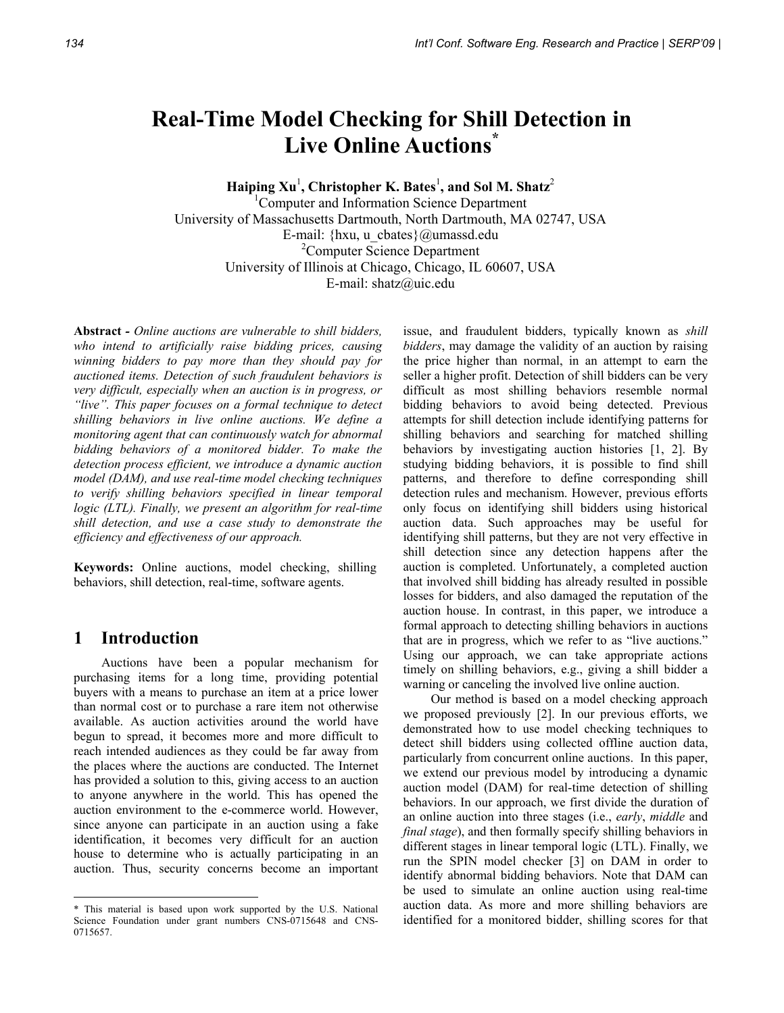# **Real-Time Model Checking for Shill Detection in Live Online Auctions\***

 $\mathbf{H}$ aiping Xu<sup>1</sup>, Christopher K. Bates<sup>1</sup>, and Sol M. Shatz<sup>2</sup>

1 Computer and Information Science Department University of Massachusetts Dartmouth, North Dartmouth, MA 02747, USA E-mail: {hxu, u\_cbates}@umassd.edu 2 Computer Science Department University of Illinois at Chicago, Chicago, IL 60607, USA E-mail: shatz@uic.edu

**Abstract** *- Online auctions are vulnerable to shill bidders, who intend to artificially raise bidding prices, causing winning bidders to pay more than they should pay for auctioned items. Detection of such fraudulent behaviors is very difficult, especially when an auction is in progress, or "live". This paper focuses on a formal technique to detect shilling behaviors in live online auctions. We define a monitoring agent that can continuously watch for abnormal bidding behaviors of a monitored bidder. To make the detection process efficient, we introduce a dynamic auction model (DAM), and use real-time model checking techniques to verify shilling behaviors specified in linear temporal logic (LTL). Finally, we present an algorithm for real-time shill detection, and use a case study to demonstrate the efficiency and effectiveness of our approach.* 

**Keywords:** Online auctions, model checking, shilling behaviors, shill detection, real-time, software agents.

# **1 Introduction**

l

Auctions have been a popular mechanism for purchasing items for a long time, providing potential buyers with a means to purchase an item at a price lower than normal cost or to purchase a rare item not otherwise available. As auction activities around the world have begun to spread, it becomes more and more difficult to reach intended audiences as they could be far away from the places where the auctions are conducted. The Internet has provided a solution to this, giving access to an auction to anyone anywhere in the world. This has opened the auction environment to the e-commerce world. However, since anyone can participate in an auction using a fake identification, it becomes very difficult for an auction house to determine who is actually participating in an auction. Thus, security concerns become an important

issue, and fraudulent bidders, typically known as *shill bidders*, may damage the validity of an auction by raising the price higher than normal, in an attempt to earn the seller a higher profit. Detection of shill bidders can be very difficult as most shilling behaviors resemble normal bidding behaviors to avoid being detected. Previous attempts for shill detection include identifying patterns for shilling behaviors and searching for matched shilling behaviors by investigating auction histories [1, 2]. By studying bidding behaviors, it is possible to find shill patterns, and therefore to define corresponding shill detection rules and mechanism. However, previous efforts only focus on identifying shill bidders using historical auction data. Such approaches may be useful for identifying shill patterns, but they are not very effective in shill detection since any detection happens after the auction is completed. Unfortunately, a completed auction that involved shill bidding has already resulted in possible losses for bidders, and also damaged the reputation of the auction house. In contrast, in this paper, we introduce a formal approach to detecting shilling behaviors in auctions that are in progress, which we refer to as "live auctions." Using our approach, we can take appropriate actions timely on shilling behaviors, e.g., giving a shill bidder a warning or canceling the involved live online auction.

Our method is based on a model checking approach we proposed previously [2]. In our previous efforts, we demonstrated how to use model checking techniques to detect shill bidders using collected offline auction data, particularly from concurrent online auctions. In this paper, we extend our previous model by introducing a dynamic auction model (DAM) for real-time detection of shilling behaviors. In our approach, we first divide the duration of an online auction into three stages (i.e., *early*, *middle* and *final stage*), and then formally specify shilling behaviors in different stages in linear temporal logic (LTL). Finally, we run the SPIN model checker [3] on DAM in order to identify abnormal bidding behaviors. Note that DAM can be used to simulate an online auction using real-time auction data. As more and more shilling behaviors are identified for a monitored bidder, shilling scores for that

<sup>\*</sup> This material is based upon work supported by the U.S. National Science Foundation under grant numbers CNS-0715648 and CNS-0715657.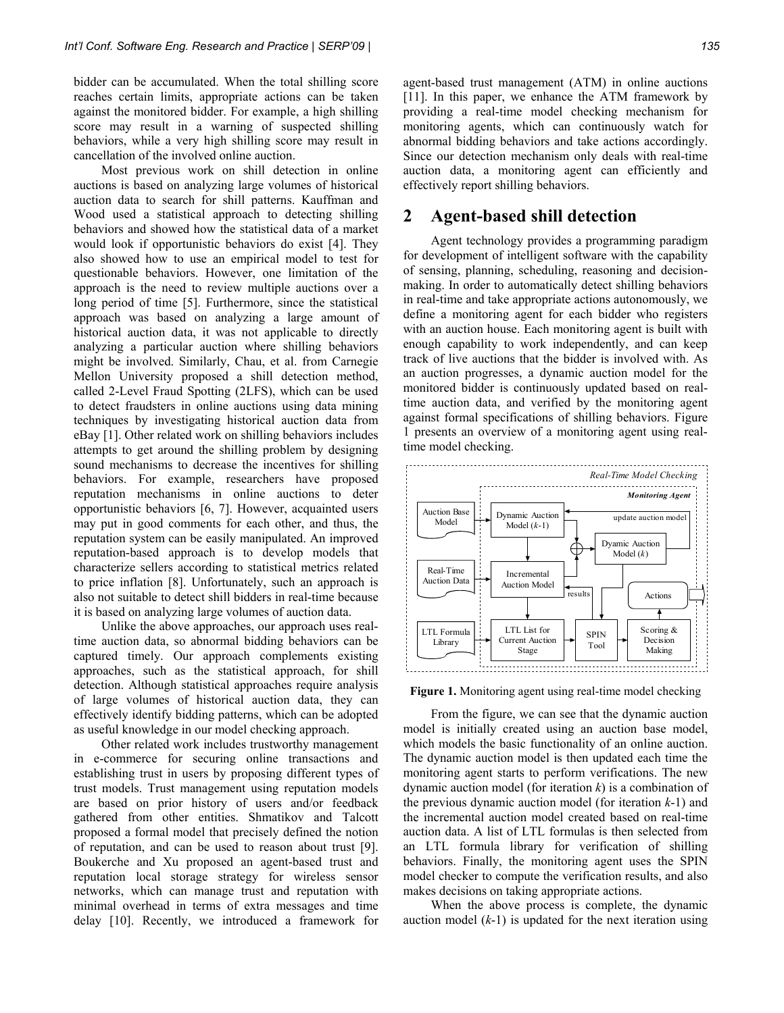bidder can be accumulated. When the total shilling score reaches certain limits, appropriate actions can be taken against the monitored bidder. For example, a high shilling score may result in a warning of suspected shilling behaviors, while a very high shilling score may result in cancellation of the involved online auction.

Most previous work on shill detection in online auctions is based on analyzing large volumes of historical auction data to search for shill patterns. Kauffman and Wood used a statistical approach to detecting shilling behaviors and showed how the statistical data of a market would look if opportunistic behaviors do exist [4]. They also showed how to use an empirical model to test for questionable behaviors. However, one limitation of the approach is the need to review multiple auctions over a long period of time [5]. Furthermore, since the statistical approach was based on analyzing a large amount of historical auction data, it was not applicable to directly analyzing a particular auction where shilling behaviors might be involved. Similarly, Chau, et al. from Carnegie Mellon University proposed a shill detection method, called 2-Level Fraud Spotting (2LFS), which can be used to detect fraudsters in online auctions using data mining techniques by investigating historical auction data from eBay [1]. Other related work on shilling behaviors includes attempts to get around the shilling problem by designing sound mechanisms to decrease the incentives for shilling behaviors. For example, researchers have proposed reputation mechanisms in online auctions to deter opportunistic behaviors [6, 7]. However, acquainted users may put in good comments for each other, and thus, the reputation system can be easily manipulated. An improved reputation-based approach is to develop models that characterize sellers according to statistical metrics related to price inflation [8]. Unfortunately, such an approach is also not suitable to detect shill bidders in real-time because it is based on analyzing large volumes of auction data.

Unlike the above approaches, our approach uses realtime auction data, so abnormal bidding behaviors can be captured timely. Our approach complements existing approaches, such as the statistical approach, for shill detection. Although statistical approaches require analysis of large volumes of historical auction data, they can effectively identify bidding patterns, which can be adopted as useful knowledge in our model checking approach.

Other related work includes trustworthy management in e-commerce for securing online transactions and establishing trust in users by proposing different types of trust models. Trust management using reputation models are based on prior history of users and/or feedback gathered from other entities. Shmatikov and Talcott proposed a formal model that precisely defined the notion of reputation, and can be used to reason about trust [9]. Boukerche and Xu proposed an agent-based trust and reputation local storage strategy for wireless sensor networks, which can manage trust and reputation with minimal overhead in terms of extra messages and time delay [10]. Recently, we introduced a framework for agent-based trust management (ATM) in online auctions [11]. In this paper, we enhance the ATM framework by providing a real-time model checking mechanism for monitoring agents, which can continuously watch for abnormal bidding behaviors and take actions accordingly. Since our detection mechanism only deals with real-time auction data, a monitoring agent can efficiently and effectively report shilling behaviors.

## **2 Agent-based shill detection**

Agent technology provides a programming paradigm for development of intelligent software with the capability of sensing, planning, scheduling, reasoning and decisionmaking. In order to automatically detect shilling behaviors in real-time and take appropriate actions autonomously, we define a monitoring agent for each bidder who registers with an auction house. Each monitoring agent is built with enough capability to work independently, and can keep track of live auctions that the bidder is involved with. As an auction progresses, a dynamic auction model for the monitored bidder is continuously updated based on realtime auction data, and verified by the monitoring agent against formal specifications of shilling behaviors. Figure 1 presents an overview of a monitoring agent using realtime model checking.



**Figure 1.** Monitoring agent using real-time model checking

From the figure, we can see that the dynamic auction model is initially created using an auction base model, which models the basic functionality of an online auction. The dynamic auction model is then updated each time the monitoring agent starts to perform verifications. The new dynamic auction model (for iteration *k*) is a combination of the previous dynamic auction model (for iteration *k*-1) and the incremental auction model created based on real-time auction data. A list of LTL formulas is then selected from an LTL formula library for verification of shilling behaviors. Finally, the monitoring agent uses the SPIN model checker to compute the verification results, and also makes decisions on taking appropriate actions.

When the above process is complete, the dynamic auction model (*k*-1) is updated for the next iteration using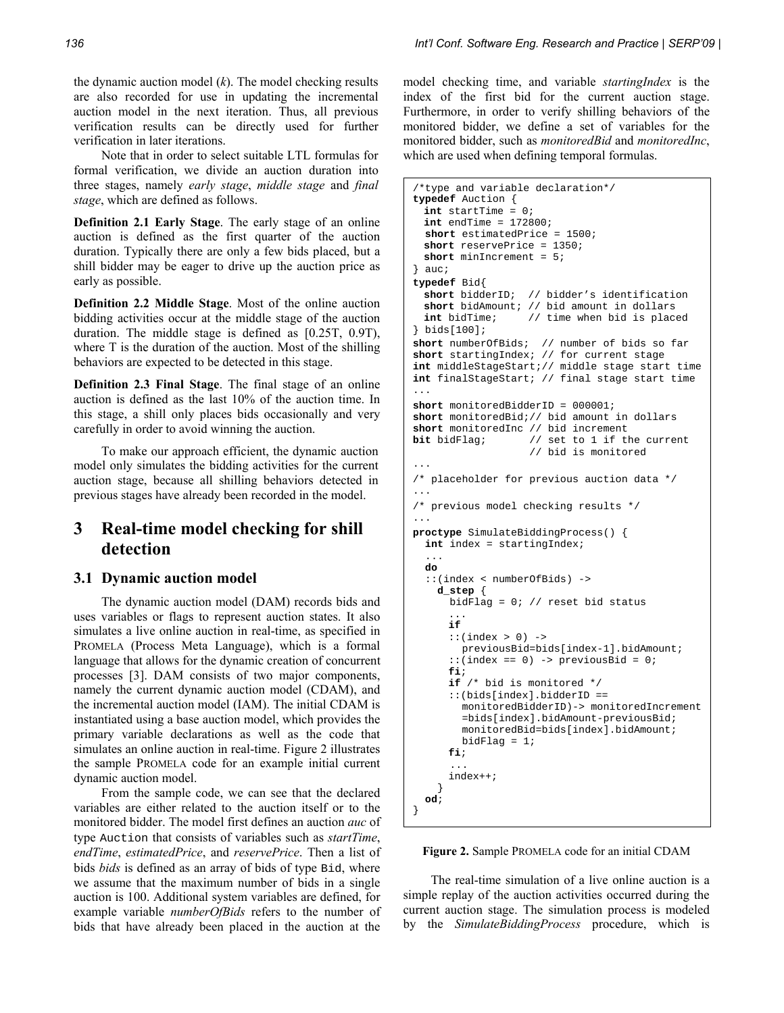the dynamic auction model (*k*). The model checking results are also recorded for use in updating the incremental auction model in the next iteration. Thus, all previous verification results can be directly used for further verification in later iterations.

Note that in order to select suitable LTL formulas for formal verification, we divide an auction duration into three stages, namely *early stage*, *middle stage* and *final stage*, which are defined as follows.

**Definition 2.1 Early Stage**. The early stage of an online auction is defined as the first quarter of the auction duration. Typically there are only a few bids placed, but a shill bidder may be eager to drive up the auction price as early as possible.

**Definition 2.2 Middle Stage**. Most of the online auction bidding activities occur at the middle stage of the auction duration. The middle stage is defined as [0.25T, 0.9T), where T is the duration of the auction. Most of the shilling behaviors are expected to be detected in this stage.

**Definition 2.3 Final Stage**. The final stage of an online auction is defined as the last 10% of the auction time. In this stage, a shill only places bids occasionally and very carefully in order to avoid winning the auction.

To make our approach efficient, the dynamic auction model only simulates the bidding activities for the current auction stage, because all shilling behaviors detected in previous stages have already been recorded in the model.

# **3 Real-time model checking for shill detection**

#### **3.1 Dynamic auction model**

The dynamic auction model (DAM) records bids and uses variables or flags to represent auction states. It also simulates a live online auction in real-time, as specified in PROMELA (Process Meta Language), which is a formal language that allows for the dynamic creation of concurrent processes [3]. DAM consists of two major components, namely the current dynamic auction model (CDAM), and the incremental auction model (IAM). The initial CDAM is instantiated using a base auction model, which provides the primary variable declarations as well as the code that simulates an online auction in real-time. Figure 2 illustrates the sample PROMELA code for an example initial current dynamic auction model.

From the sample code, we can see that the declared variables are either related to the auction itself or to the monitored bidder. The model first defines an auction *auc* of type Auction that consists of variables such as *startTime*, *endTime*, *estimatedPrice*, and *reservePrice*. Then a list of bids *bids* is defined as an array of bids of type Bid, where we assume that the maximum number of bids in a single auction is 100. Additional system variables are defined, for example variable *numberOfBids* refers to the number of bids that have already been placed in the auction at the

model checking time, and variable *startingIndex* is the index of the first bid for the current auction stage. Furthermore, in order to verify shilling behaviors of the monitored bidder, we define a set of variables for the monitored bidder, such as *monitoredBid* and *monitoredInc*, which are used when defining temporal formulas.

```
/*type and variable declaration*/ 
typedef Auction { 
  int startTime = 0; 
  int endTime = 172800; 
   short estimatedPrice = 1500; 
  short reservePrice = 1350; 
  short minIncrement = 5; 
  auc;
typedef Bid{ 
  short bidderID; // bidder's identification 
  short bidAmount; // bid amount in dollars 
  int bidTime; // time when bid is placed 
 } bids[100]; 
short numberOfBids; // number of bids so far 
short startingIndex; // for current stage 
int middleStageStart;// middle stage start time 
int finalStageStart; // final stage start time 
... 
short monitoredBidderID = 000001; 
short monitoredBid;// bid amount in dollars 
short monitoredInc // bid increment<br>bit bidFlag; // set to 1 if the
                    // set to 1 if the current
                      // bid is monitored 
... 
/* placeholder for previous auction data */ 
... 
/* previous model checking results */ 
... 
proctype SimulateBiddingProcess() { 
   int index = startingIndex; 
 ... 
   do 
   ::(index < numberOfBids) -> 
    d_step { 
       bidFlag = 0; // reset bid status 
 ... 
       if 
       ::(index > 0) -> 
         previousBid=bids[index-1].bidAmount; 
      ::(index == 0) -> previousBid = 0; fi; 
       if /* bid is monitored */ 
       ::(bids[index].bidderID == 
         monitoredBidderID)-> monitoredIncrement 
          =bids[index].bidAmount-previousBid; 
         monitoredBid=bids[index].bidAmount; 
        bidFlaq = 1;
       fi; 
 ... 
       index++; 
 } 
   od; 
}
```
**Figure 2.** Sample PROMELA code for an initial CDAM

The real-time simulation of a live online auction is a simple replay of the auction activities occurred during the current auction stage. The simulation process is modeled by the *SimulateBiddingProcess* procedure, which is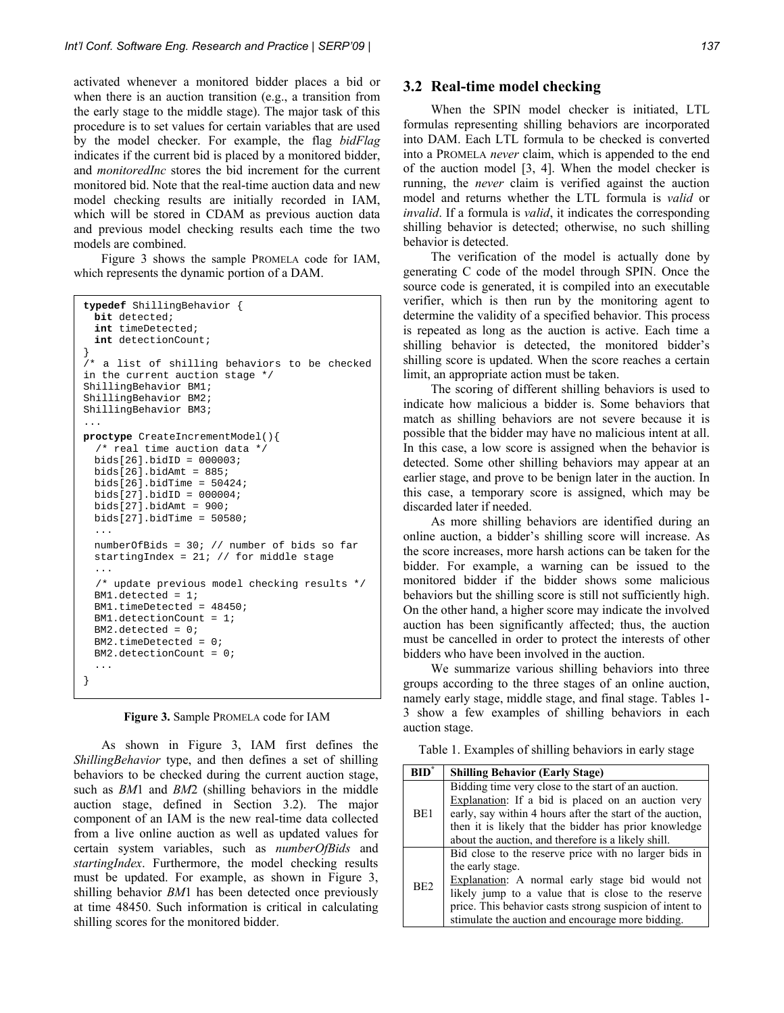activated whenever a monitored bidder places a bid or when there is an auction transition (e.g., a transition from the early stage to the middle stage). The major task of this procedure is to set values for certain variables that are used by the model checker. For example, the flag *bidFlag* indicates if the current bid is placed by a monitored bidder, and *monitoredInc* stores the bid increment for the current monitored bid. Note that the real-time auction data and new model checking results are initially recorded in IAM, which will be stored in CDAM as previous auction data and previous model checking results each time the two models are combined.

Figure 3 shows the sample PROMELA code for IAM, which represents the dynamic portion of a DAM.

```
typedef ShillingBehavior { 
  bit detected; 
  int timeDetected; 
  int detectionCount; 
} 
/* a list of shilling behaviors to be checked 
in the current auction stage */ 
ShillingBehavior BM1; 
ShillingBehavior BM2; 
ShillingBehavior BM3; 
... 
proctype CreateIncrementModel(){ 
   /* real time auction data */ 
  bids[26].bidID = 000003; 
  bids[26].bidAmt = 885; 
 bids[26].bidTime = 50424;
  bids[27].bidID = 000004; 
  bids[27].bidAmt = 900; 
 bids[27].bidTime = 50580; 
   ... 
  numberOfBids = 30; // number of bids so far 
   startingIndex = 21; // for middle stage 
 ... 
   /* update previous model checking results */ 
  BM1.detected = 1; 
   BM1.timeDetected = 48450; 
  BM1.detectionCount = 1; 
  BM2.detected = 0; 
   BM2.timeDetected = 0; 
   BM2.detectionCount = 0; 
}
```

| Figure 3. Sample PROMELA code for IAM |  |  |
|---------------------------------------|--|--|
|---------------------------------------|--|--|

As shown in Figure 3, IAM first defines the *ShillingBehavior* type, and then defines a set of shilling behaviors to be checked during the current auction stage, such as *BM*1 and *BM*2 (shilling behaviors in the middle auction stage, defined in Section 3.2). The major component of an IAM is the new real-time data collected from a live online auction as well as updated values for certain system variables, such as *numberOfBids* and *startingIndex*. Furthermore, the model checking results must be updated. For example, as shown in Figure 3, shilling behavior *BM*1 has been detected once previously at time 48450. Such information is critical in calculating shilling scores for the monitored bidder.

#### **3.2 Real-time model checking**

When the SPIN model checker is initiated, LTL formulas representing shilling behaviors are incorporated into DAM. Each LTL formula to be checked is converted into a PROMELA *never* claim, which is appended to the end of the auction model [3, 4]. When the model checker is running, the *never* claim is verified against the auction model and returns whether the LTL formula is *valid* or *invalid*. If a formula is *valid*, it indicates the corresponding shilling behavior is detected; otherwise, no such shilling behavior is detected.

The verification of the model is actually done by generating C code of the model through SPIN. Once the source code is generated, it is compiled into an executable verifier, which is then run by the monitoring agent to determine the validity of a specified behavior. This process is repeated as long as the auction is active. Each time a shilling behavior is detected, the monitored bidder's shilling score is updated. When the score reaches a certain limit, an appropriate action must be taken.

The scoring of different shilling behaviors is used to indicate how malicious a bidder is. Some behaviors that match as shilling behaviors are not severe because it is possible that the bidder may have no malicious intent at all. In this case, a low score is assigned when the behavior is detected. Some other shilling behaviors may appear at an earlier stage, and prove to be benign later in the auction. In this case, a temporary score is assigned, which may be discarded later if needed.

As more shilling behaviors are identified during an online auction, a bidder's shilling score will increase. As the score increases, more harsh actions can be taken for the bidder. For example, a warning can be issued to the monitored bidder if the bidder shows some malicious behaviors but the shilling score is still not sufficiently high. On the other hand, a higher score may indicate the involved auction has been significantly affected; thus, the auction must be cancelled in order to protect the interests of other bidders who have been involved in the auction.

We summarize various shilling behaviors into three groups according to the three stages of an online auction, namely early stage, middle stage, and final stage. Tables 1- 3 show a few examples of shilling behaviors in each auction stage.

Table 1. Examples of shilling behaviors in early stage

| <b>RID</b>      | <b>Shilling Behavior (Early Stage)</b>                    |
|-----------------|-----------------------------------------------------------|
|                 | Bidding time very close to the start of an auction.       |
| BE1             | Explanation: If a bid is placed on an auction very        |
|                 | early, say within 4 hours after the start of the auction, |
|                 | then it is likely that the bidder has prior knowledge     |
|                 | about the auction, and therefore is a likely shill.       |
|                 | Bid close to the reserve price with no larger bids in     |
|                 | the early stage.                                          |
| BE <sub>2</sub> | Explanation: A normal early stage bid would not           |
|                 | likely jump to a value that is close to the reserve       |
|                 | price. This behavior casts strong suspicion of intent to  |
|                 | stimulate the auction and encourage more bidding.         |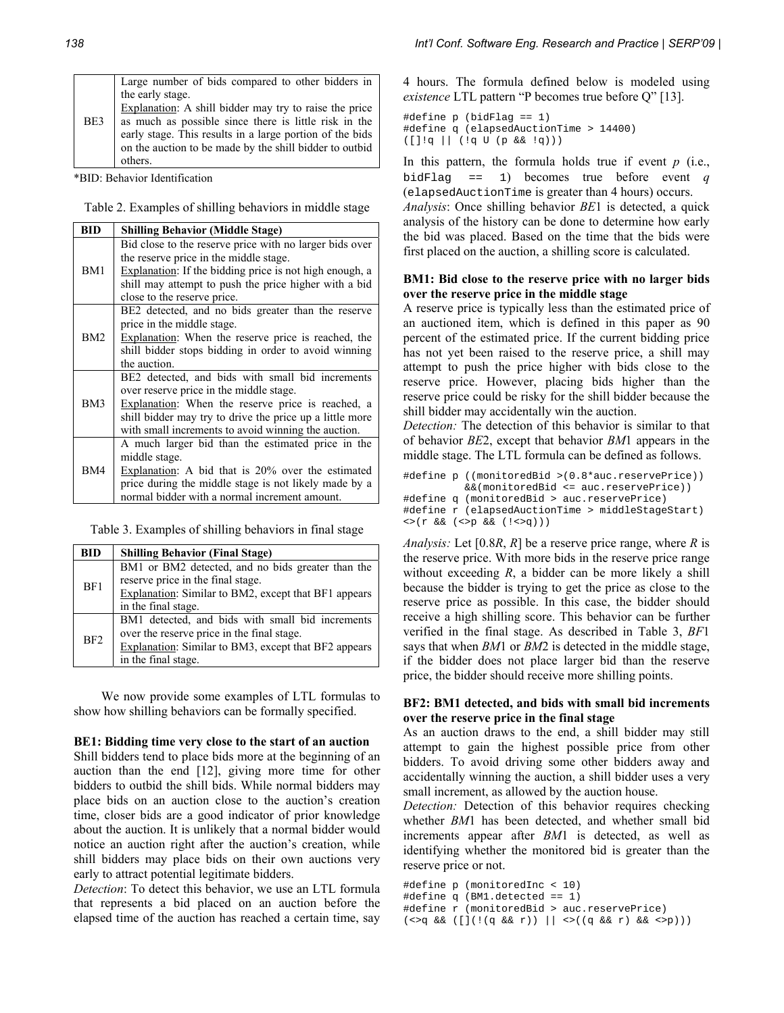| BE3 | Large number of bids compared to other bidders in<br>the early stage.<br>Explanation: A shill bidder may try to raise the price<br>as much as possible since there is little risk in the<br>early stage. This results in a large portion of the bids<br>on the auction to be made by the shill bidder to outbid<br>others. |
|-----|----------------------------------------------------------------------------------------------------------------------------------------------------------------------------------------------------------------------------------------------------------------------------------------------------------------------------|
|-----|----------------------------------------------------------------------------------------------------------------------------------------------------------------------------------------------------------------------------------------------------------------------------------------------------------------------------|

\*BID: Behavior Identification

Table 2. Examples of shilling behaviors in middle stage

| <b>BID</b> | <b>Shilling Behavior (Middle Stage)</b>                                                                                                                              |
|------------|----------------------------------------------------------------------------------------------------------------------------------------------------------------------|
|            | Bid close to the reserve price with no larger bids over<br>the reserve price in the middle stage.                                                                    |
| BM1        | Explanation: If the bidding price is not high enough, a<br>shill may attempt to push the price higher with a bid<br>close to the reserve price.                      |
|            | BE2 detected, and no bids greater than the reserve<br>price in the middle stage.                                                                                     |
| BM2        | <b>Explanation:</b> When the reserve price is reached, the<br>shill bidder stops bidding in order to avoid winning<br>the auction.                                   |
| BM3        | BE2 detected, and bids with small bid increments<br>over reserve price in the middle stage.                                                                          |
|            | Explanation: When the reserve price is reached, a<br>shill bidder may try to drive the price up a little more<br>with small increments to avoid winning the auction. |
|            | A much larger bid than the estimated price in the                                                                                                                    |
| BM4        | middle stage.<br>Explanation: A bid that is 20% over the estimated<br>price during the middle stage is not likely made by a                                          |
|            | normal bidder with a normal increment amount.                                                                                                                        |

Table 3. Examples of shilling behaviors in final stage

| <b>BID</b>      | <b>Shilling Behavior (Final Stage)</b>               |
|-----------------|------------------------------------------------------|
| BF1             | BM1 or BM2 detected, and no bids greater than the    |
|                 | reserve price in the final stage.                    |
|                 | Explanation: Similar to BM2, except that BF1 appears |
|                 | in the final stage.                                  |
|                 | BM1 detected, and bids with small bid increments     |
| BF <sub>2</sub> | over the reserve price in the final stage.           |
|                 | Explanation: Similar to BM3, except that BF2 appears |
|                 | in the final stage.                                  |

We now provide some examples of LTL formulas to show how shilling behaviors can be formally specified.

#### **BE1: Bidding time very close to the start of an auction**

Shill bidders tend to place bids more at the beginning of an auction than the end [12], giving more time for other bidders to outbid the shill bids. While normal bidders may place bids on an auction close to the auction's creation time, closer bids are a good indicator of prior knowledge about the auction. It is unlikely that a normal bidder would notice an auction right after the auction's creation, while shill bidders may place bids on their own auctions very early to attract potential legitimate bidders.

*Detection*: To detect this behavior, we use an LTL formula that represents a bid placed on an auction before the elapsed time of the auction has reached a certain time, say

4 hours. The formula defined below is modeled using *existence* LTL pattern "P becomes true before Q" [13].

```
#define p (bidFlag == 1) 
#define q (elapsedAuctionTime > 14400) 
([]!q || (!q U (p && !q)))
```
In this pattern, the formula holds true if event *p* (i.e., bidFlag == 1) becomes true before event *q*  (elapsedAuctionTime is greater than 4 hours) occurs.

*Analysis*: Once shilling behavior *BE*1 is detected, a quick analysis of the history can be done to determine how early the bid was placed. Based on the time that the bids were first placed on the auction, a shilling score is calculated.

#### **BM1: Bid close to the reserve price with no larger bids over the reserve price in the middle stage**

A reserve price is typically less than the estimated price of an auctioned item, which is defined in this paper as 90 percent of the estimated price. If the current bidding price has not yet been raised to the reserve price, a shill may attempt to push the price higher with bids close to the reserve price. However, placing bids higher than the reserve price could be risky for the shill bidder because the shill bidder may accidentally win the auction.

*Detection:* The detection of this behavior is similar to that of behavior *BE*2, except that behavior *BM*1 appears in the middle stage. The LTL formula can be defined as follows.

```
#define p ((monitoredBid >(0.8*auc.reservePrice)) 
           &&(monitoredBid <= auc.reservePrice)) 
#define q (monitoredBid > auc.reservePrice) 
#define r (elapsedAuctionTime > middleStageStart) 
<>(r && (<>p && (!<>q)))
```
*Analysis:* Let [0.8*R*, *R*] be a reserve price range, where *R* is the reserve price. With more bids in the reserve price range without exceeding  $R$ , a bidder can be more likely a shill because the bidder is trying to get the price as close to the reserve price as possible. In this case, the bidder should receive a high shilling score. This behavior can be further verified in the final stage. As described in Table 3, *BF*1 says that when *BM*1 or *BM*2 is detected in the middle stage, if the bidder does not place larger bid than the reserve price, the bidder should receive more shilling points.

#### **BF2: BM1 detected, and bids with small bid increments over the reserve price in the final stage**

As an auction draws to the end, a shill bidder may still attempt to gain the highest possible price from other bidders. To avoid driving some other bidders away and accidentally winning the auction, a shill bidder uses a very small increment, as allowed by the auction house.

*Detection:* Detection of this behavior requires checking whether *BM*1 has been detected, and whether small bid increments appear after *BM*1 is detected, as well as identifying whether the monitored bid is greater than the reserve price or not.

```
#define p (monitoredInc < 10) 
#define q (BM1.detected == 1) 
#define r (monitoredBid > auc.reservePrice) 
(<>q && ([](!(q && r)) || <>((q && r) && <>p)))
```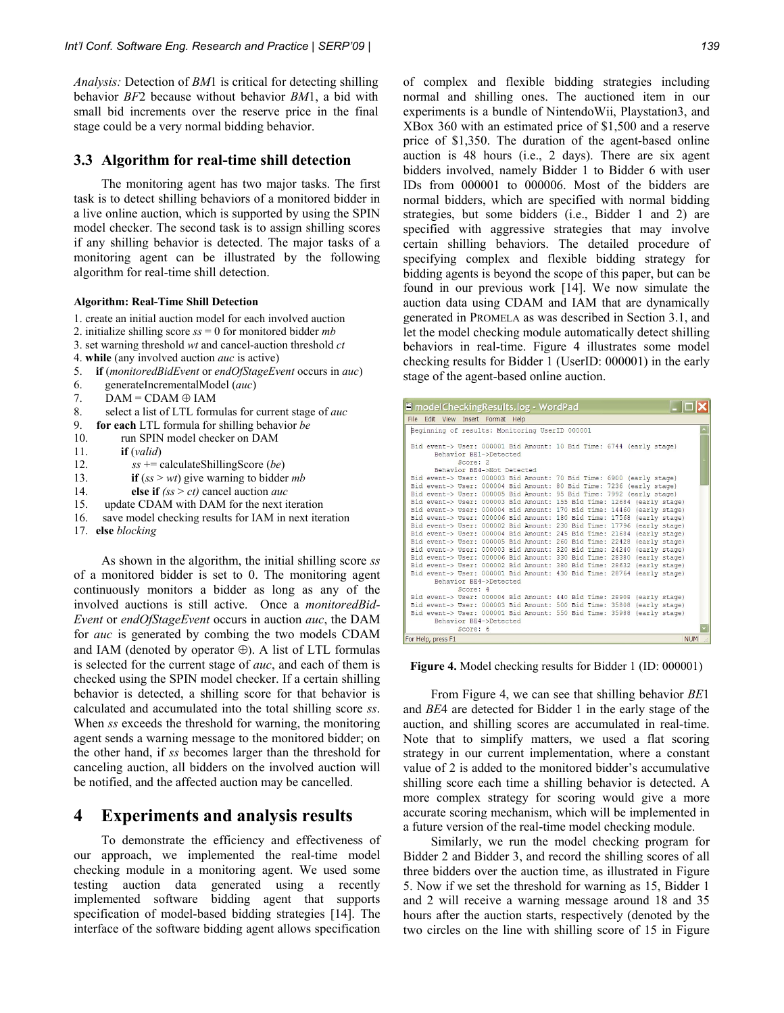*Analysis:* Detection of *BM*1 is critical for detecting shilling behavior *BF*2 because without behavior *BM*1, a bid with small bid increments over the reserve price in the final stage could be a very normal bidding behavior.

#### **3.3 Algorithm for real-time shill detection**

The monitoring agent has two major tasks. The first task is to detect shilling behaviors of a monitored bidder in a live online auction, which is supported by using the SPIN model checker. The second task is to assign shilling scores if any shilling behavior is detected. The major tasks of a monitoring agent can be illustrated by the following algorithm for real-time shill detection.

#### **Algorithm: Real-Time Shill Detection**

- 1. create an initial auction model for each involved auction
- 2. initialize shilling score *ss* = 0 for monitored bidder *mb*
- 3. set warning threshold *wt* and cancel-auction threshold *ct*
- 4. **while** (any involved auction *auc* is active)
- 5. **if** (*monitoredBidEvent* or *endOfStageEvent* occurs in *auc*)
- 6. generateIncrementalModel (*auc*)
- 7.  $DAM = CDAM \oplus IAM$
- 8. select a list of LTL formulas for current stage of *auc*
- 9. **for each** LTL formula for shilling behavior *be*
- 10. run SPIN model checker on DAM
- 11. **if** (*valid*)
- 12. *ss* += calculateShillingScore (*be*)
- 13. **if** (*ss* > *wt*) give warning to bidder *mb*
- 14.**else if** *(ss* > *ct)* cancel auction *auc*
- 15. update CDAM with DAM for the next iteration
- 16. save model checking results for IAM in next iteration
- 17. **else** *blocking*

As shown in the algorithm, the initial shilling score *ss* of a monitored bidder is set to 0. The monitoring agent continuously monitors a bidder as long as any of the involved auctions is still active. Once a *monitoredBid-Event* or *endOfStageEvent* occurs in auction *auc*, the DAM for *auc* is generated by combing the two models CDAM and IAM (denoted by operator  $\oplus$ ). A list of LTL formulas is selected for the current stage of *auc*, and each of them is checked using the SPIN model checker. If a certain shilling behavior is detected, a shilling score for that behavior is calculated and accumulated into the total shilling score *ss*. When *ss* exceeds the threshold for warning, the monitoring agent sends a warning message to the monitored bidder; on the other hand, if *ss* becomes larger than the threshold for canceling auction, all bidders on the involved auction will be notified, and the affected auction may be cancelled.

# **4 Experiments and analysis results**

To demonstrate the efficiency and effectiveness of our approach, we implemented the real-time model checking module in a monitoring agent. We used some testing auction data generated using a recently implemented software bidding agent that supports specification of model-based bidding strategies [14]. The interface of the software bidding agent allows specification

of complex and flexible bidding strategies including normal and shilling ones. The auctioned item in our experiments is a bundle of NintendoWii, Playstation3, and XBox 360 with an estimated price of \$1,500 and a reserve price of \$1,350. The duration of the agent-based online auction is 48 hours (i.e., 2 days). There are six agent bidders involved, namely Bidder 1 to Bidder 6 with user IDs from 000001 to 000006. Most of the bidders are normal bidders, which are specified with normal bidding strategies, but some bidders (i.e., Bidder 1 and 2) are specified with aggressive strategies that may involve certain shilling behaviors. The detailed procedure of specifying complex and flexible bidding strategy for bidding agents is beyond the scope of this paper, but can be found in our previous work [14]. We now simulate the auction data using CDAM and IAM that are dynamically generated in PROMELA as was described in Section 3.1, and let the model checking module automatically detect shilling behaviors in real-time. Figure 4 illustrates some model checking results for Bidder 1 (UserID: 000001) in the early stage of the agent-based online auction.

| I modelCheckingResults.log - WordPad                                                                                                             |          |                            |  |  |  |  |  |  |            |
|--------------------------------------------------------------------------------------------------------------------------------------------------|----------|----------------------------|--|--|--|--|--|--|------------|
| File Edit View Insert Format Help                                                                                                                |          |                            |  |  |  |  |  |  |            |
| Beginning of results: Monitoring UserID 000001                                                                                                   |          |                            |  |  |  |  |  |  |            |
|                                                                                                                                                  |          |                            |  |  |  |  |  |  |            |
| Bid event-> User: 000001 Bid Amount: 10 Bid Time: 6744 (early stage)                                                                             |          |                            |  |  |  |  |  |  |            |
|                                                                                                                                                  |          | Behavior BE1->Detected     |  |  |  |  |  |  |            |
|                                                                                                                                                  | Score: 2 |                            |  |  |  |  |  |  |            |
|                                                                                                                                                  |          | Behavior BE4->Not Detected |  |  |  |  |  |  |            |
| Bid event-> User: 000003 Bid Amount: 70 Bid Time: 6900 (early stage)                                                                             |          |                            |  |  |  |  |  |  |            |
| Bid event-> User: 000004 Bid Amount: 80 Bid Time: 7236 (early stage)                                                                             |          |                            |  |  |  |  |  |  |            |
| Bid event-> User: 000005 Bid Amount: 95 Bid Time: 7992 (early stage)                                                                             |          |                            |  |  |  |  |  |  |            |
| Bid event-> User: 000003 Bid Amount: 155 Bid Time: 12684 (early stage)                                                                           |          |                            |  |  |  |  |  |  |            |
| Bid event-> User: 000004 Bid Amount: 170 Bid Time: 14460 (early stage)<br>Bid event-> User: 000006 Bid Amount: 180 Bid Time: 17568 (early stage) |          |                            |  |  |  |  |  |  |            |
| Bid event-> User: 000002 Bid Amount: 230 Bid Time: 17796 (early stage)                                                                           |          |                            |  |  |  |  |  |  |            |
| Bid event-> User: 000004 Bid Amount: 245 Bid Time: 21684 (early stage)                                                                           |          |                            |  |  |  |  |  |  |            |
| Bid event-> User: 000005 Bid Amount: 260 Bid Time: 22428 (early stage)                                                                           |          |                            |  |  |  |  |  |  |            |
| Bid event-> User: 000003 Bid Amount: 320 Bid Time: 24240 (early stage)                                                                           |          |                            |  |  |  |  |  |  |            |
| Bid event-> User: 000006 Bid Amount: 330 Bid Time: 28380 (early stage)                                                                           |          |                            |  |  |  |  |  |  |            |
| Bid event-> User: 000002 Bid Amount: 380 Bid Time: 28632 (early stage)                                                                           |          |                            |  |  |  |  |  |  |            |
| Bid event-> User: 000001 Bid Amount: 430 Bid Time: 28764 (early stage)                                                                           |          |                            |  |  |  |  |  |  |            |
|                                                                                                                                                  |          | Behavior BE4->Detected     |  |  |  |  |  |  |            |
|                                                                                                                                                  | Score: 4 |                            |  |  |  |  |  |  |            |
| Bid event-> User: 000004 Bid Amount: 440 Bid Time: 28908 (early stage)                                                                           |          |                            |  |  |  |  |  |  |            |
| Bid event-> User: 000003 Bid Amount: 500 Bid Time: 35808 (early stage)                                                                           |          |                            |  |  |  |  |  |  |            |
| Bid event-> User: 000001 Bid Amount: 550 Bid Time: 35988 (early stage)                                                                           |          |                            |  |  |  |  |  |  |            |
| Behavior BE4->Detected                                                                                                                           |          |                            |  |  |  |  |  |  |            |
|                                                                                                                                                  | Score: 6 |                            |  |  |  |  |  |  |            |
| For Help, press F1                                                                                                                               |          |                            |  |  |  |  |  |  | <b>NUM</b> |

**Figure 4.** Model checking results for Bidder 1 (ID: 000001)

From Figure 4, we can see that shilling behavior *BE*1 and *BE*4 are detected for Bidder 1 in the early stage of the auction, and shilling scores are accumulated in real-time. Note that to simplify matters, we used a flat scoring strategy in our current implementation, where a constant value of 2 is added to the monitored bidder's accumulative shilling score each time a shilling behavior is detected. A more complex strategy for scoring would give a more accurate scoring mechanism, which will be implemented in a future version of the real-time model checking module.

Similarly, we run the model checking program for Bidder 2 and Bidder 3, and record the shilling scores of all three bidders over the auction time, as illustrated in Figure 5. Now if we set the threshold for warning as 15, Bidder 1 and 2 will receive a warning message around 18 and 35 hours after the auction starts, respectively (denoted by the two circles on the line with shilling score of 15 in Figure